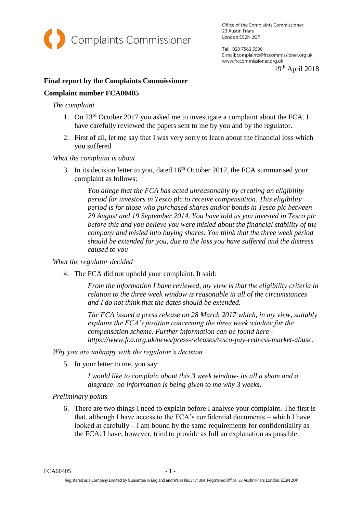

Office of the Complaints Commissioner 23 Austin Friars London EC2N 2QP

Tel: 020 7562 5530 E-mail: complaints@frccommissioner.org.uk www.frccommissioner.org.uk

19th April 2018

# **Final report by the Complaints Commissioner**

### **Complaint number FCA00405**

#### *The complaint*

- 1. On 23rd October 2017 you asked me to investigate a complaint about the FCA. I have carefully reviewed the papers sent to me by you and by the regulator.
- 2. First of all, let me say that I was very sorry to learn about the financial loss which you suffered.

#### *What the complaint is about*

3. In its decision letter to you, dated  $16<sup>th</sup>$  October 2017, the FCA summarised your complaint as follows:

*You allege that the FCA has acted unreasonably by creating an eligibility period for investors in Tesco plc to receive compensation. This eligibility period is for those who purchased shares and/or bonds in Tesco plc between 29 August and 19 September 2014. You have told us you invested in Tesco plc before this and you believe you were misled about the financial stability of the company and misled into buying shares. You think that the three week period should be extended for you, due to the loss you have suffered and the distress caused to you*

#### *What the regulator decided*

4. The FCA did not uphold your complaint. It said:

*From the information I have reviewed, my view is that the eligibility criteria in relation to the three week window is reasonable in all of the circumstances and I do not think that the dates should be extended.* 

*The FCA issued a press release on 28 March 2017 which, in my view, suitably explains the FCA's position concerning the three week window for the compensation scheme. Further information can be found here https://www.fca.org.uk/news/press-releases/tesco-pay-redress-market-abuse.*

*Why you are unhappy with the regulator's decision*

5. In your letter to me, you say:

*I would like to complain about this 3 week window- its all a sham and a disgrace- no information is being given to me why 3 weeks.*

# *Preliminary points*

6. There are two things I need to explain before I analyse your complaint. The first is that, although I have access to the FCA's confidential documents – which I have looked at carefully – I am bound by the same requirements for confidentiality as the FCA. I have, however, tried to provide as full an explanation as possible.